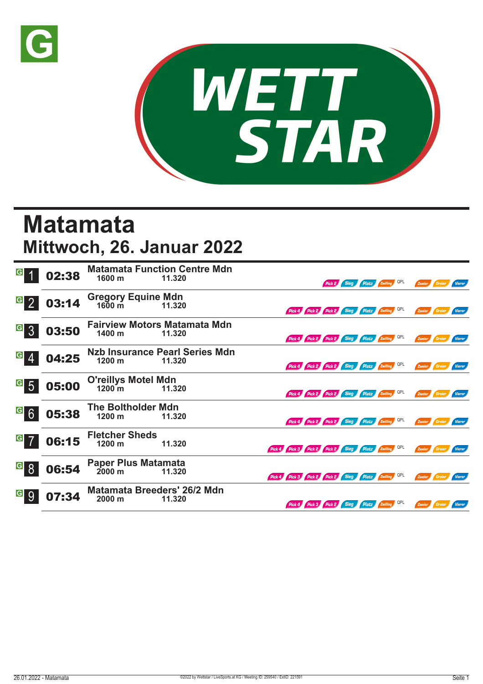



## **Matamata Mittwoch, 26. Januar 2022**

| G                                  | 02:38 | 1600 m                                            | <b>Matamata Function Centre Mdn</b><br>11.320   |                                                     |                                              |  | Pick 2 Sieg Platz Zwilling QPL | Zweier Dreier        | <b>Vierer</b> |
|------------------------------------|-------|---------------------------------------------------|-------------------------------------------------|-----------------------------------------------------|----------------------------------------------|--|--------------------------------|----------------------|---------------|
| $G_{2}$                            | 03:14 | Gregory Equine Mdn<br>1600 m 11.320               | 11.320                                          |                                                     | Pick 4 Pick 2 Pick 2 Sieg Platz Zwilling QPL |  |                                | Zweier Dreier Vierer |               |
| $\vert G \vert$<br>$\mathbf{3}$    | 03:50 | 1400 <sub>m</sub>                                 | <b>Fairview Motors Matamata Mdn</b><br>11.320   |                                                     | Pick 4 Pick 2 Pick 2 Sieg Platz Zwilling QPL |  |                                | Zweier Dreier Vierer |               |
| $\vert G \vert$<br>$\overline{4}$  | 04:25 | 1200 m                                            | <b>Nzb Insurance Pearl Series Mdn</b><br>11.320 |                                                     | Pick 4 Pick 2 Pick 2 Sieg Platz Zwilling QPL |  |                                | Zweier Dreier        | Vierer        |
| $\vert G \vert$<br>$5\overline{5}$ | 05:00 | <b>O'reillys Motel Mdn</b><br>1200 <sup>7</sup> m | 11.320                                          |                                                     | Pick 4 Pick 2 Pick 2 Sieg Platz Zwilling QPL |  |                                | Zweier Dreier Vierer |               |
| $G$ 6                              | 05:38 | <b>The Boltholder Mdn</b><br>$1200 \text{ m}$     | 11.320                                          |                                                     | Pick 4 Pick 2 Pick 2 Sieg Platz Zwilling QPL |  |                                | Zweier Dreier Vierer |               |
| $G$ 7                              | 06:15 | <b>Fletcher Sheds</b><br>$1200 \text{ m}$         | 11.320                                          | Pick 4 Pick 3 Pick 2 Pick 2 Sieg Platz Zwilling OPL |                                              |  |                                | Zweier Dreier Vierer |               |
| $\vert G \vert$<br>8               | 06:54 | <b>Paper Plus Matamata</b><br>$2000 \text{ m}$    | 11.320                                          | Pick 4 Pick 3 Pick 2 Pick 2 Sieg Platz Zwilling OPL |                                              |  |                                | Zweier Dreier Vierer |               |
| G <br>9                            | 07:34 | <b>Matamata Breeders' 26/2 Mdn</b><br>2000 m      | 11.320                                          |                                                     | Pick 4 Pick 3 Pick 2 Sieg Platz Zwilling QPL |  |                                | Zweier Dreier Vierer |               |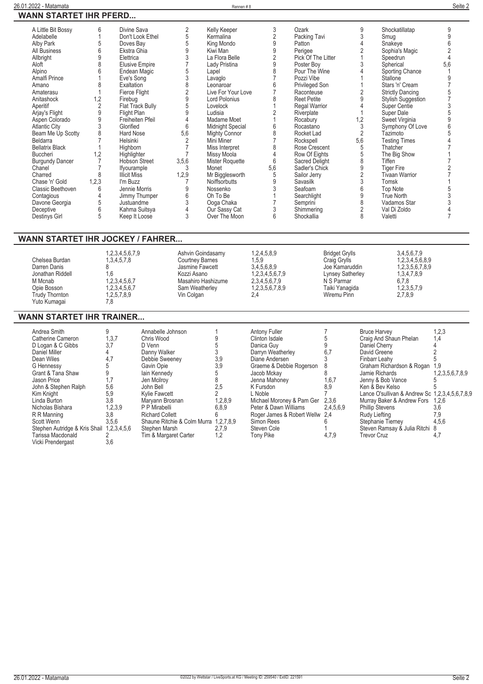| A Little Bit Bossy     | 6              | Divine Sava           | 2              | Kelly Keeper         | 3              | Ozark                 | 9               | Shockatillatap            | 9   |
|------------------------|----------------|-----------------------|----------------|----------------------|----------------|-----------------------|-----------------|---------------------------|-----|
| Adelabelle             |                | Don't Look Ethel      | 5              | Kermalina            | $\overline{2}$ | Packing Tavi          |                 | Smug                      |     |
| Alby Park              |                | Doves Bay             | 5              | King Mondo           | 9              | Patton                |                 | Snakeye                   |     |
| All Business           |                | Ekstra Ghia           | 9              | Kiwi Man             | 9              | Perigee               |                 | Sophia's Magic            |     |
| Allbright              | 9              | Elettrica             |                | La Flora Belle       |                | Pick Of The Litter    |                 | Speedrun                  |     |
| Aloft                  |                | <b>Elusive Empire</b> |                | Lady Pristina        | 9              | Poster Boy            |                 | Spherical                 | 5.6 |
| Alpino                 |                | Endean Magic          |                | Lapel                |                | Pour The Wine         |                 | Sporting Chance           |     |
| Amalfi Prince          |                | Eve's Song            |                | Lavaglo              |                | Pozzi Vibe            |                 | Stallone                  |     |
| Amano                  |                | Exaltation            |                | Leonaroar            |                | Privileged Son        |                 | Stars 'n' Cream           |     |
| Amaterasu              |                | Fierce Flight         | $\overline{2}$ | Live For Your Love   |                | Raconteuse            | $\overline{2}$  | <b>Strictly Dancing</b>   |     |
| Anitashock             | 1,2            | Firebug               | 9              | Lord Polonius        |                | <b>Reet Petite</b>    | 9               | <b>Stylish Suggestion</b> |     |
| Aperitif               |                | Flat Track Bully      | 5              | Lovelock             |                | <b>Regal Warrior</b>  |                 | Super Centie              |     |
| Arjay's Flight         | 9              | Flight Plan           | 9              | Ludisia              |                | Riverplate            |                 | Super Dale                |     |
|                        | 9              | Freiheiten Pfeil      |                | Madame Moet          |                |                       |                 |                           |     |
| Aspen Colorado         | 3              | Glorified             | 6              |                      |                | Rocabury<br>Rocastano | $\frac{1,2}{3}$ | Sweet Virginia            |     |
| <b>Atlantic City</b>   |                |                       |                | Midnight Special     | 8              |                       |                 | Symphony Of Love          |     |
| Beam Me Up Scotty      | 8              | Hard Nose             | 5,6            | <b>Mighty Connor</b> |                | Rocket Lad            | $\overline{2}$  | Tazimoto                  |     |
| Beldarra               |                | Helsinki              |                | Mini Miner           |                | Rockspell             | 5,6             | <b>Testing Times</b>      |     |
| <b>Bellatrix Black</b> |                | Highborn              |                | Miss Interpret       | 8              | Rose Crescent         | 5               | Thatcher                  |     |
| <b>Buccheri</b>        | $\overline{2}$ | Highlighter           |                | Missy Moola          |                | Row Of Eights         | 5               | The Big Show              |     |
| <b>Burgundy Dancer</b> |                | <b>Hobson Street</b>  | 3,5,6          | Mister Roquette      | 6              | Sacred Delight        | 8               | Tiffen                    |     |
| Chanel                 |                | Ifyourample           | 3              | Monet                | 5,6            | Sadler's Chick        | 9               | <b>Tiger Fire</b>         |     |
| Charred                |                | <b>Illicit Miss</b>   | 1,2,9          | Mr Bigglesworth      | 5              | Sailor Jerry          | 2               | <b>Tivaan Warrior</b>     |     |
| Chase 'n' Gold         | 1,2,3          | I'm Buzz              |                | <b>Noiffsorbutts</b> | 9              | Savasilk              |                 | Tomsk                     |     |
| Classic Beethoven      | 6              | Jennie Morris         |                | Nossenko             |                | Seafoam               | 6               | <b>Top Note</b>           |     |
| Contagious             |                | Jimmy Thumper         |                | Oh To Be             |                | Searchlight           | 9               | True North                |     |
| Davone Georgia         | 5              | Justuandme            |                | Ooga Chaka           |                | Semprini              | 8               | Vadamos Star              |     |
| Deceptive              | 6              | Kahma Suitsya         |                | Our Sassy Cat        |                | Shimmering            | 2               | Val Di Zoldo              |     |
| Destinys Girl          | 5              | Keep It Loose         | 3              | Over The Moon        | 6              | Shockallia            | 8               | Valetti                   |     |
|                        |                |                       |                |                      |                |                       |                 |                           |     |

## **WANN STARTET IHR JOCKEY / FAHRER...**

|                  | 1,2,3,4,5,6,7,9 | Ashvin Goindasamy  | 1,2,4,5,8,9     | <b>Bridget Grylls</b> | 3.4,5,6,7,9     |  |
|------------------|-----------------|--------------------|-----------------|-----------------------|-----------------|--|
| Chelsea Burdan   | 1,3,4,5,7,8     | Courtney Barnes    | 1.5.9           | Craig Grylls          | 1.2.3.4.5.6.8.9 |  |
| Darren Danis     |                 | Jasmine Fawcett    | 3,4,5,6,8,9     | Joe Kamaruddin        | 1,2,3,5,6,7,8,9 |  |
| Jonathan Riddell | .6              | Kozzi Asano        | 1.2.3.4.5.6.7.9 | Lynsey Satherley      | 1,3,4,7,8,9     |  |
| M Mcnab          | 1,2,3,4,5,6,7   | Masahiro Hashizume | 2.3.4.5.6.7.9   | N S Parmar            | 6,7,8           |  |
| Opie Bosson      | 1,2,3,4,5,6,7   | Sam Weatherley     | 1,2,3,5,6,7,8,9 | Taiki Yanaqida        | 1,2,3,5,7,9     |  |
| Trudy Thornton   | 1.2.5.7.8.9     | Vin Colgan         | 2.4             | Wiremu Pinn           | 2,7,8,9         |  |
| Yuto Kumagai     | 7.8             |                    |                 |                       |                 |  |

## **WANN STARTET IHR TRAINER...**

| Andrea Smith<br>Catherine Cameron<br>D Logan & C Gibbs<br>Daniel Miller<br>Dean Wiles<br><b>G</b> Hennessy<br>Grant & Tana Shaw<br>Jason Price<br>John & Stephen Ralph<br>Kim Knight<br>Linda Burton<br>Nicholas Bishara<br>R R Manning<br>Scott Wenn<br>Stephen Autridge & Kris Shail 1,2,3,4,5,6 | 1, 3, 7<br>3,7<br>4,7<br>1,7<br>5,6<br>5,9<br>3.8<br>1,2,3,9<br>3,8<br>3,5,6 | Annabelle Johnson<br>Chris Wood<br>D Venn<br>Danny Walker<br>Debbie Sweenev<br>Gavin Opie<br>lain Kennedy<br>Jen Mcilrov<br>John Bell<br>Kylie Fawcett<br>Marvann Brosnan<br>P P Mirabelli<br><b>Richard Collett</b><br>Shaune Ritchie & Colm Murra 1,2,7,8,9<br>Stephen Marsh | 3,9<br>3,9<br>2,5<br>1,2,8,9<br>6,8,9<br>2,7,9 | <b>Antony Fuller</b><br>Clinton Isdale<br>Danica Guy<br>Darryn Weatherley<br>Diane Andersen<br>Graeme & Debbie Rogerson<br>Jacob Mckav<br>Jenna Mahoney<br>K Fursdon<br>L Noble<br>Michael Moroney & Pam Ger<br>Peter & Dawn Williams<br>Roger James & Robert Wellw 2,4<br>Simon Rees<br>Steven Cole | 6,7<br>1,6,7<br>8.9<br>2,3,6<br>2,4,5,6,9 | <b>Bruce Harvey</b><br>Craig And Shaun Phelan<br>Daniel Cherry<br>David Greene<br>Finbarr Leahv<br>Graham Richardson & Rogan 1,9<br>Jamie Richards<br>Jenny & Bob Vance<br>Ken & Bev Kelso<br>Lance O'sullivan & Andrew Sc 1,2,3,4,5,6,7,8,9<br>Murray Baker & Andrew Fors 1,2,6<br><b>Phillip Stevens</b><br>Rudy Liefting<br>Stephanie Tiernev<br>Steven Ramsay & Julia Ritchi 8 | 1,2,3<br>1,4<br>1,2,3,5,6,7,8,9<br>3.6<br>7.9<br>4,5,6 |
|----------------------------------------------------------------------------------------------------------------------------------------------------------------------------------------------------------------------------------------------------------------------------------------------------|------------------------------------------------------------------------------|--------------------------------------------------------------------------------------------------------------------------------------------------------------------------------------------------------------------------------------------------------------------------------|------------------------------------------------|------------------------------------------------------------------------------------------------------------------------------------------------------------------------------------------------------------------------------------------------------------------------------------------------------|-------------------------------------------|------------------------------------------------------------------------------------------------------------------------------------------------------------------------------------------------------------------------------------------------------------------------------------------------------------------------------------------------------------------------------------|--------------------------------------------------------|
| Tarissa Macdonald<br>Vicki Prendergast                                                                                                                                                                                                                                                             | 3,6                                                                          | Tim & Margaret Carter                                                                                                                                                                                                                                                          | 1.2                                            | Tony Pike                                                                                                                                                                                                                                                                                            | 4,7,9                                     | <b>Trevor Cruz</b>                                                                                                                                                                                                                                                                                                                                                                 | 4.7                                                    |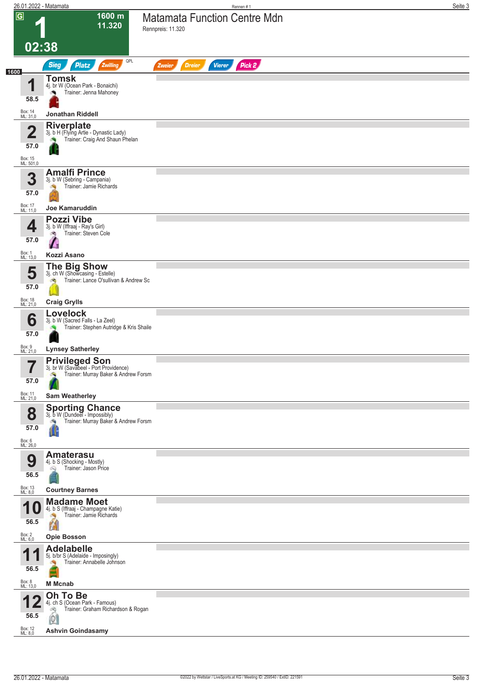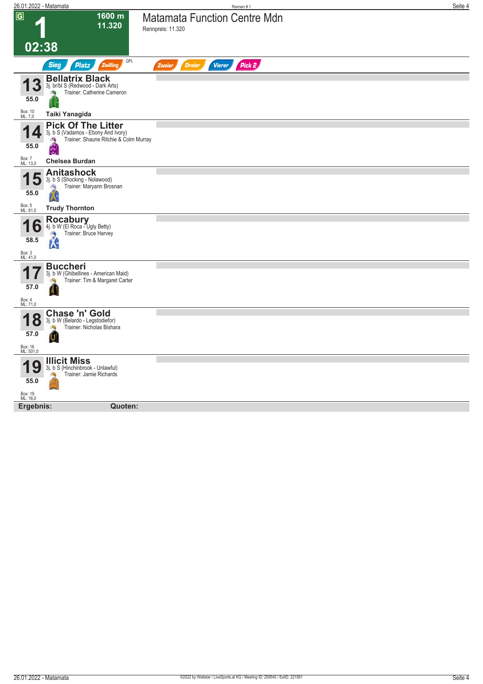| 26.01.2022 - Matamata            |                                                                                                                      | Rennen #1                                                | Seite 4 |
|----------------------------------|----------------------------------------------------------------------------------------------------------------------|----------------------------------------------------------|---------|
| $\overline{G}$                   | 1600 m<br>11.320                                                                                                     | <b>Matamata Function Centre Mdn</b><br>Rennpreis: 11.320 |         |
| 02:38                            |                                                                                                                      |                                                          |         |
|                                  | QPL<br><b>Sieg</b><br><b>Platz</b><br>Zwilling                                                                       | Pick 2<br><b>Dreier</b><br><b>Vierer</b><br>Zweier       |         |
| 3<br>55.0                        | <b>Bellatrix Black</b><br>3j. br/bl S (Redwood - Dark Arts)<br>Trainer: Catherine Cameron                            |                                                          |         |
| Box: 10<br>ML: 7,0               | Taiki Yanagida                                                                                                       |                                                          |         |
| $\mathbf{Z}$<br>55.0             | <b>Pick Of The Litter</b><br>3j. b S (Vadamos - Ebony And Ivory)<br>Trainer: Shaune Ritchie & Colm Murray<br>A<br>Ń. |                                                          |         |
| Box: 7<br>ML: 13,0               | <b>Chelsea Burdan</b>                                                                                                |                                                          |         |
| 5<br>4<br>55.0                   | <b>Anitashock</b><br>3j. b S (Shocking - Nolawood)<br>Trainer: Maryann Brosnan<br>d.<br>K                            |                                                          |         |
| Box: 5<br>ML: 81,0               | <b>Trudy Thornton</b>                                                                                                |                                                          |         |
| O<br>58.5<br>Box: 3<br>ML: 41,0  | Rocabury<br>4j. b W (El Roca - Ugly Betty)<br>Trainer: Bruce Harvey<br>łК                                            |                                                          |         |
|                                  | <b>Buccheri</b>                                                                                                      |                                                          |         |
| 57.0<br>Box: 4<br>ML: 71,0       | 3j. b W (Ghibellines - American Maid)<br>Trainer: Tim & Margaret Carter                                              |                                                          |         |
| $\bullet$<br>Ŏ<br>57.0           | Chase 'n' Gold<br>3j. b W (Belardo - Legstodiefor)<br>Trainer: Nicholas Bishara                                      |                                                          |         |
| Box: 16<br>ML: 501,0             |                                                                                                                      |                                                          |         |
| 9<br>55.0<br>Box: 19<br>ML: 16,0 | <b>Illicit Miss</b><br>3j. b S (Hinchinbrook - Unlawful)<br>Trainer: Jamie Richards                                  |                                                          |         |
| Ergebnis:                        | Quoten:                                                                                                              |                                                          |         |
|                                  |                                                                                                                      |                                                          |         |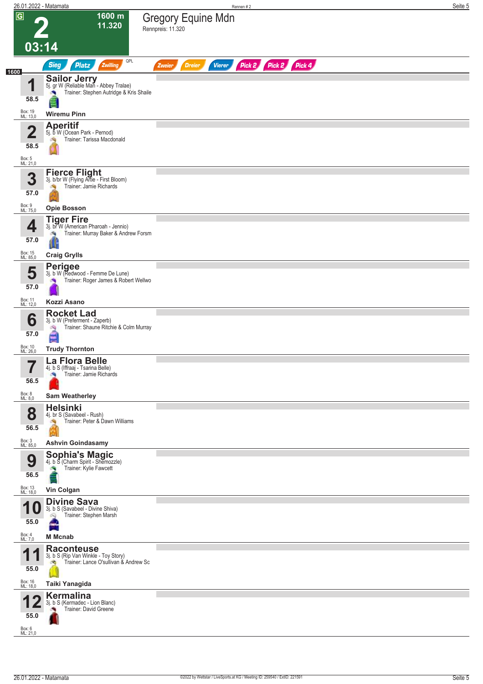|                |                                                       | 26.01.2022 - Matamata                                                                                                         | Seite 5<br>Rennen #2                                             |  |
|----------------|-------------------------------------------------------|-------------------------------------------------------------------------------------------------------------------------------|------------------------------------------------------------------|--|
| $\overline{G}$ |                                                       | 1600 m<br>11.320                                                                                                              | <b>Gregory Equine Mdn</b><br>Rennpreis: 11.320                   |  |
|                | 03:14                                                 |                                                                                                                               |                                                                  |  |
| 1600           |                                                       | QPL<br><b>Sieg</b><br>Platz<br>Zwilling                                                                                       | Pick 2 Pick 2 Pick 4<br><b>Vierer</b><br><b>Dreier</b><br>Zweier |  |
|                | и<br>58.5                                             | <b>Sailor Jerry</b><br>5j. gr W (Reliable Man - Abbey Tralae)<br>Trainer: Stephen Autridge & Kris Shaile                      |                                                                  |  |
|                | Box: 19<br>ML: 13,0                                   | <b>Wiremu Pinn</b><br><b>Aperitif</b>                                                                                         |                                                                  |  |
|                | $\overline{\mathbf{2}}$<br>58.5<br>Box: 5<br>ML: 21,0 | 5j. b W (Ocean Park - Pernod)<br>Trainer: Tarissa Macdonald                                                                   |                                                                  |  |
|                | 3<br>57.0                                             | <b>Fierce Flight</b><br>3j. b/br W (Flying Artie - First Bloom)<br>Trainer: Jamie Richards                                    |                                                                  |  |
|                | Box: 9<br>ML: 75,0                                    | <b>Opie Bosson</b>                                                                                                            |                                                                  |  |
|                | 4<br>57.0<br>Box: 15                                  | <b>Tiger Fire</b><br>3j. br W (American Pharoah - Jennio)<br>Trainer: Murray Baker & Andrew Forsm<br>烸<br><b>Craig Grylls</b> |                                                                  |  |
|                | ML: 85,0<br>5                                         | <b>Perigee</b><br>3j. b W (Redwood - Femme De Lune)                                                                           |                                                                  |  |
|                | 57.0                                                  | Trainer: Roger James & Robert Wellwo                                                                                          |                                                                  |  |
|                | Box: 11<br>ML: 12,0                                   | Kozzi Asano                                                                                                                   |                                                                  |  |
|                | 6<br>57.0                                             | <b>Rocket Lad</b><br>3j. b W (Preferment - Zaperb)<br>Trainer: Shaune Ritchie & Colm Murray<br>哅                              |                                                                  |  |
|                | Box: 10<br>ML: 26,0                                   | <b>Trudy Thornton</b>                                                                                                         |                                                                  |  |
|                | 7<br>ı<br>56.5                                        | La Flora Belle<br>4j. b S (Iffraaj - Tsarina Belle)<br>Trainer: Jamie Richards<br><b>Sep</b>                                  |                                                                  |  |
|                | Box: 8<br>ML: 8,0                                     | <b>Sam Weatherley</b>                                                                                                         |                                                                  |  |
|                | 8<br>56.5                                             | <b>Helsinki</b><br>4j. br S (Savabeel - Rush)<br>Trainer: Peter & Dawn Williams                                               |                                                                  |  |
|                | Box: 3<br>ML: 85,0                                    | <b>Ashvin Goindasamy</b>                                                                                                      |                                                                  |  |
|                | 9<br>56.5                                             | <b>Sophia's Magic</b><br>4j. b S (Charm Spirit - Shemozzle)<br>Trainer: Kylie Fawcett                                         |                                                                  |  |
|                | Box: 13<br>ML: 18,0                                   | Vin Colgan                                                                                                                    |                                                                  |  |
|                | и<br>55.0                                             | <b>Divine Sava</b><br>3j. b S (Savabeel - Divine Shiva)<br>Trainer: Stephen Marsh<br>Ŵ                                        |                                                                  |  |
|                | Box: 4<br>ML: 7,0                                     | <b>M</b> Mcnab                                                                                                                |                                                                  |  |
|                | И<br>55.0                                             | <b>Raconteuse</b><br>3j. b S (Rip Van Winkle - Toy Story)<br>Trainer: Lance O'sullivan & Andrew Sc<br>đ.                      |                                                                  |  |
|                | Box: 16<br>ML: 18,0                                   | Taiki Yanagida                                                                                                                |                                                                  |  |
|                | 55.0<br>Box: 6<br>ML: 21,0                            | <b>Kermalina</b><br>3j. b S (Kermadec - Lion Blanc)<br>Trainer: David Greene                                                  |                                                                  |  |
|                |                                                       |                                                                                                                               |                                                                  |  |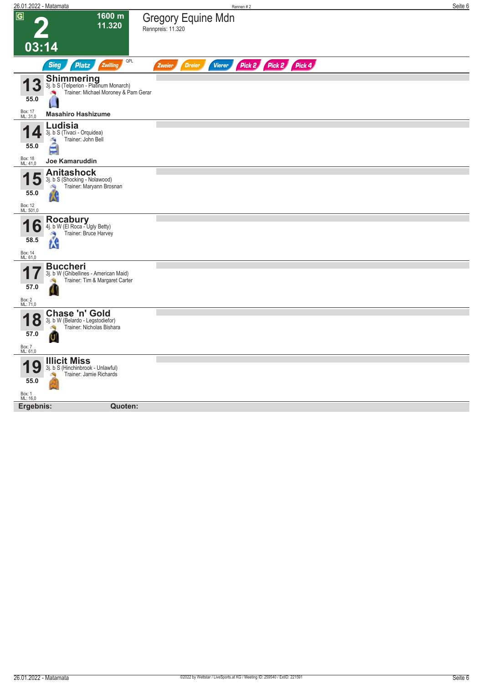| 26.01.2022 - Matamata           |                                                                                              | Rennen #2                                                        | Seite 6 |
|---------------------------------|----------------------------------------------------------------------------------------------|------------------------------------------------------------------|---------|
| $\overline{G}$                  | 1600 m<br>11.320                                                                             | <b>Gregory Equine Mdn</b><br>Rennpreis: 11.320                   |         |
| 03:14                           |                                                                                              |                                                                  |         |
|                                 | QPL<br><b>Sieg</b><br>Platz<br><b>Zwilling</b>                                               | Pick 2 Pick 2 Pick 4<br><b>Vierer</b><br><b>Dreier</b><br>Zweier |         |
| 3<br>55.0                       | Shimmering<br>3j. b S (Telperion - Platinum Monarch)<br>Trainer: Michael Moroney & Pam Gerar |                                                                  |         |
| Box: 17<br>ML: 31,0             | <b>Masahiro Hashizume</b>                                                                    |                                                                  |         |
| 55.0                            | Ludisia<br>3j. b S (Tivaci - Orquidea)<br>Trainer: John Bell<br>ä                            |                                                                  |         |
| Box: 18<br>ML: 41,0             | Joe Kamaruddin                                                                               |                                                                  |         |
| 5<br>55.0                       | <b>Anitashock</b><br>3j. b S (Shocking - Nolawood)<br>Trainer: Maryann Brosnan               |                                                                  |         |
| Box: 12<br>ML: 501,0            |                                                                                              |                                                                  |         |
| 6<br>58.5                       | Rocabury<br>4j. b W (El Roca - Ugly Betty)<br>Trainer: Bruce Harvey<br>÷,<br>łК              |                                                                  |         |
| Box: 14<br>ML: 61,0             |                                                                                              |                                                                  |         |
| 57.0<br>Box: 2<br>ML: 71,0      | <b>Buccheri</b><br>3j. b W (Ghibellines - American Maid)<br>Trainer: Tim & Margaret Carter   |                                                                  |         |
| $\bullet$<br>Ŏ<br>57.0          | Chase 'n' Gold<br>3j. b W (Belardo - Legstodiefor)<br>Trainer: Nicholas Bishara              |                                                                  |         |
| Box: 7<br>ML: 61,0              |                                                                                              |                                                                  |         |
| 9<br>55.0<br>Box: 1<br>ML: 16,0 | <b>Illicit Miss</b><br>3j. b S (Hinchinbrook - Unlawful)<br>Trainer: Jamie Richards          |                                                                  |         |
| Ergebnis:                       | Quoten:                                                                                      |                                                                  |         |
|                                 |                                                                                              |                                                                  |         |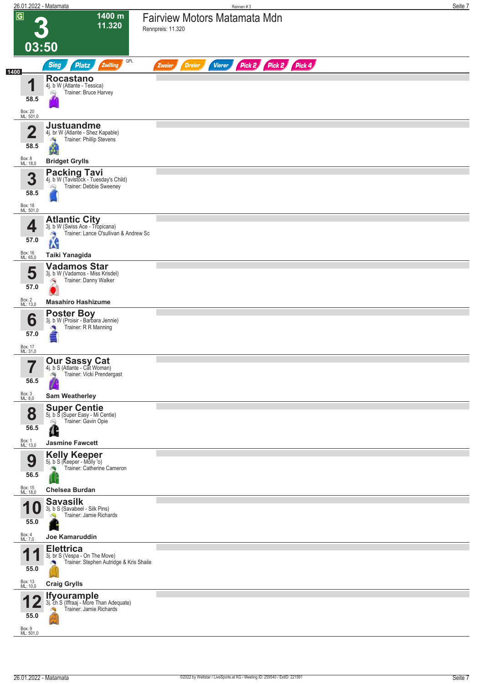|                                   | 26.01.2022 - Matamata                                                                                              | Rennen#3                                                         | Seite 7 |
|-----------------------------------|--------------------------------------------------------------------------------------------------------------------|------------------------------------------------------------------|---------|
| $\overline{G}$                    | 1400 m<br>11.320<br>03:50                                                                                          | <b>Fairview Motors Matamata Mdn</b><br>Rennpreis: 11.320         |         |
|                                   | QPL                                                                                                                |                                                                  |         |
| 1400                              | <b>Sieg</b><br><b>Platz</b><br>Zwilling                                                                            | Pick 2 Pick 2 Pick 4<br><b>Dreier</b><br><b>Vierer</b><br>Zweier |         |
| ◢<br>58.5<br>Box: 20<br>ML: 501,0 | <b>Rocastano</b><br>4j. b W (Atlante - Tessica)<br>Trainer: Bruce Harvey<br>Q                                      |                                                                  |         |
| $\overline{\mathbf{2}}$<br>58.5   | <b>Justuandme</b><br>4j. br W (Atlante - Shez Kapable)<br>Trainer: Phillip Stevens<br>Ø                            |                                                                  |         |
| Box: 8<br>ML: 18,0                | <b>Bridget Grylls</b>                                                                                              |                                                                  |         |
| 3<br>58.5<br>Box: 18<br>ML: 501,0 | <b>Packing Tavi</b><br>4j. b W (Tavistock - Tuesday's Child)<br>Trainer: Debbie Sweeney                            |                                                                  |         |
| 4<br>57.0<br>Box: 16              | <b>Atlantic City</b><br>3j. b W (Swiss Ace - Tropicana)<br>Trainer: Lance O'sullivan & Andrew Sc<br><b>SA</b><br>W |                                                                  |         |
| ML: 65,0<br>5<br>57.0             | Taiki Yanagida<br><b>Vadamos Star</b><br>3j. b W (Vadamos - Miss Krisdel)<br>Trainer: Danny Walker<br>్ర           |                                                                  |         |
| Box: 2<br>ML: 13,0                | <b>Masahiro Hashizume</b>                                                                                          |                                                                  |         |
| 6<br>57.0                         | <b>Poster Boy</b><br>3j. b W (Proisir - Barbara Jennie)<br>Trainer: R R Manning                                    |                                                                  |         |
| Box: 17<br>ML: 31,0               |                                                                                                                    |                                                                  |         |
| 56.5<br>Box: 3<br>ML: 8,0         | <b>Our Sassy Cat</b><br>4j. b S (Atlante - Cat Woman)<br>Trainer: Vicki Prendergast<br><b>Sam Weatherley</b>       |                                                                  |         |
| 8<br>56.5                         | <b>Super Centie</b><br>5j. b S (Super Easy - Mi Centie)<br>Trainer: Gavin Opie<br>óQ<br>Œ                          |                                                                  |         |
| Box: 1<br>ML: 13,0<br>9<br>56.5   | <b>Jasmine Fawcett</b><br><b>Kelly Keeper</b><br>5j. b S (Keeper - Molly 'o)<br>Trainer: Catherine Cameron         |                                                                  |         |
| Box: 15<br>ML: 18,0<br>U<br>55.0  | Chelsea Burdan<br><b>Savasilk</b><br>3j. b S (Savabeel - Silk Pins)<br>Trainer: Jamie Richards                     |                                                                  |         |
| Box: 4<br>ML: 7,0                 | Joe Kamaruddin                                                                                                     |                                                                  |         |
| и<br>55.0                         | <b>Elettrica</b><br>3j. br S (Vespa - On The Move)<br>Trainer: Stephen Autridge & Kris Shaile                      |                                                                  |         |
| Box: 13<br>ML: 10,0               | <b>Craig Grylls</b>                                                                                                |                                                                  |         |
| 55.0<br>Box: 9<br>ML: 501,0       | <b>Ifyourample</b><br>3j. ch S (Iffraaj - More Than Adequate)<br>Trainer: Jamie Richards                           |                                                                  |         |
|                                   |                                                                                                                    |                                                                  |         |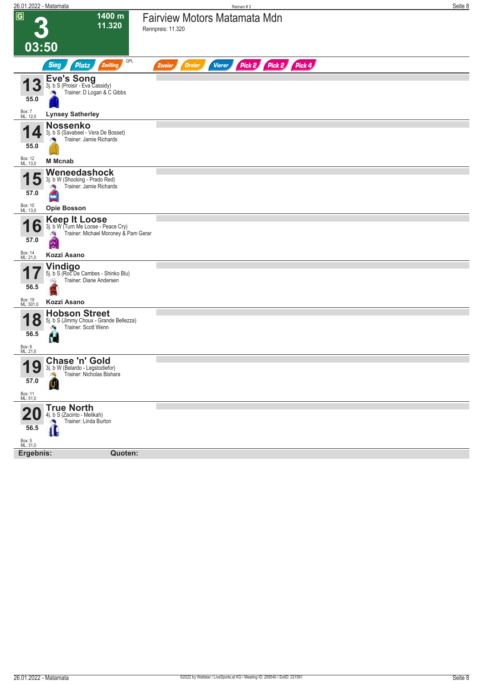| 26.01.2022 - Matamata                   |                                                                                                                 | Rennen #3                                                        | Seite 8 |
|-----------------------------------------|-----------------------------------------------------------------------------------------------------------------|------------------------------------------------------------------|---------|
| $\boxed{G}$                             | 1400 m<br>11.320                                                                                                | Fairview Motors Matamata Mdn<br>Rennpreis: 11.320                |         |
| 03:50                                   |                                                                                                                 |                                                                  |         |
|                                         | QPL<br><b>Sieg</b><br><b>Platz</b><br>Zwilling                                                                  | Pick 2 Pick 2 Pick 4<br><b>Dreier</b><br><b>Vierer</b><br>Zweier |         |
| <b>13</b><br>55.0                       | <b>Eve's Song</b><br>3j. b S (Proisir - Eva Cassidy)<br>Trainer: D Logan & C Gibbs                              |                                                                  |         |
| Box: 7<br>ML: 12,0                      | <b>Lynsey Satherley</b>                                                                                         |                                                                  |         |
| 55.0                                    | <b>Nossenko</b><br>3j. b S (Savabeel - Vera De Bosset)<br>Trainer: Jamie Richards                               |                                                                  |         |
| Box: 12<br>ML: 13,0                     | <b>M</b> Mcnab                                                                                                  |                                                                  |         |
| 57.0                                    | Weneedashock<br>3j. b W (Shocking - Prado Red)<br>Trainer: Jamie Richards                                       |                                                                  |         |
| Box: 10<br>ML: 13,0                     | <b>Opie Bosson</b>                                                                                              |                                                                  |         |
| O<br>57.0                               | <b>Keep It Loose</b><br>3j. b W (Turn Me Loose - Peace Cry)<br>Trainer: Michael Moroney & Pam Gerar<br>зQ,<br>é |                                                                  |         |
| Box: 14<br>ML: 21,0                     | Kozzi Asano                                                                                                     |                                                                  |         |
| 56.5                                    | <b>Vindigo</b><br>5j. b S (Roc De Cambes - Shinko Blu)<br>Trainer: Diane Andersen<br>Ŵ                          |                                                                  |         |
| Box: 19<br>ML: 501,0                    | Kozzi Asano                                                                                                     |                                                                  |         |
| 8<br>56.5<br>Box: 6<br>ML: 21,0         | <b>Hobson Street</b><br>5j. b S (Jimmy Choux - Grande Bellezza)<br>Trainer: Scott Wenn<br>Н                     |                                                                  |         |
| 10<br>IJ<br>57.0<br>Box: 11<br>ML: 51,0 | Chase 'n' Gold<br>3j. b W (Belardo - Legstodiefor)<br>Trainer: Nicholas Bishara<br>Ù                            |                                                                  |         |
|                                         | <b>True North</b>                                                                                               |                                                                  |         |
| 56.5                                    | 4j. b S (Zacinto - Melikah)<br>Trainer: Linda Burton<br>$\mathbf{r}$                                            |                                                                  |         |
| Box: 5<br>ML: 31,0                      |                                                                                                                 |                                                                  |         |
| Ergebnis:                               | Quoten:                                                                                                         |                                                                  |         |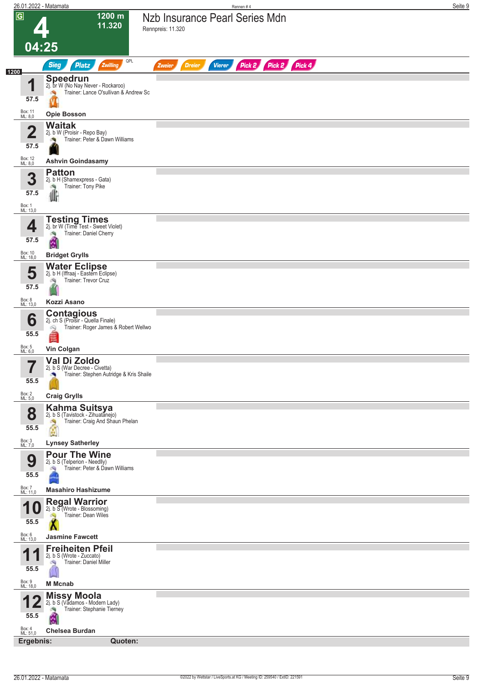| 26.01.2022 - Matamata           |                                                                                                              | Seite 9<br>Rennen#4                                              |
|---------------------------------|--------------------------------------------------------------------------------------------------------------|------------------------------------------------------------------|
| $\overline{G}$                  | 1200 m<br>11.320                                                                                             | Nzb Insurance Pearl Series Mdn<br>Rennpreis: 11.320              |
| 04:25                           |                                                                                                              |                                                                  |
|                                 | QPL<br><b>Sieg</b><br><b>Platz</b><br>Zwilling                                                               | Pick 2 Pick 2 Pick 4<br><b>Dreier</b><br><b>Vierer</b><br>Zweier |
| 1200<br>и                       | <b>Speedrun</b><br>2j. br W (No Nay Never - Rockaroo)                                                        |                                                                  |
| 57.5                            | Trainer: Lance O'sullivan & Andrew Sc                                                                        |                                                                  |
| Box: 11<br>ML: 8,0              | <b>Opie Bosson</b>                                                                                           |                                                                  |
| 2                               | <b>Waitak</b><br>2j. b W (Proisir - Repo Bay)                                                                |                                                                  |
| 57.5                            | Trainer: Peter & Dawn Williams<br>o R                                                                        |                                                                  |
| Box: 12<br>ML: 8,0              | <b>Ashvin Goindasamy</b>                                                                                     |                                                                  |
| 3                               | <b>Patton</b><br>2j. b H (Shamexpress - Gata)                                                                |                                                                  |
| 57.5                            | Trainer: Tony Pike<br>U                                                                                      |                                                                  |
| Box: 1<br>ML: 13,0              |                                                                                                              |                                                                  |
| 4                               | <b>Testing Times</b><br>2j. br W (Time Test - Sweet Violet)                                                  |                                                                  |
| 57.5                            | Trainer: Daniel Cherry<br>é                                                                                  |                                                                  |
| Box: 10<br>ML: 18,0             | <b>Bridget Grylls</b>                                                                                        |                                                                  |
| 5                               | <b>Water Eclipse</b><br>2j. b H (Iffraaj - Eastern Eclipse)                                                  |                                                                  |
| 57.5                            | Trainer: Trevor Cruz                                                                                         |                                                                  |
| Box: 8<br>ML: 13,0              | Kozzi Asano                                                                                                  |                                                                  |
| 6                               | <b>Contagious</b><br>2j. ch S (Proisir - Quella Finale)                                                      |                                                                  |
| 55.5                            | Trainer: Roger James & Robert Wellwo                                                                         |                                                                  |
| Box: 5<br>ML: 6,0               | <b>Vin Colgan</b>                                                                                            |                                                                  |
| 7<br>$\blacksquare$             | Val Di Zoldo<br>2j. b S (War Decree - Civetta)                                                               |                                                                  |
| 55.5                            | Trainer: Stephen Autridge & Kris Shaile                                                                      |                                                                  |
| Box: 2<br>ML: 5,0               | <b>Craig Grylls</b>                                                                                          |                                                                  |
| 8<br>55.5                       | <b>Kahma Suitsya</b><br>2j. b S (Tavistock - Zihuatanejo)<br>Trainer: Craig And Shaun Phelan<br>$\mathbf{e}$ |                                                                  |
| Box: 3<br>ML: 7,0               | <b>Lynsey Satherley</b>                                                                                      |                                                                  |
| 9                               | <b>Pour The Wine</b><br>2j. b S (Telperion - Needlly)                                                        |                                                                  |
| 55.5                            | Trainer: Peter & Dawn Williams                                                                               |                                                                  |
| Box: 7<br>ML: 11,0              | <b>Masahiro Hashizume</b>                                                                                    |                                                                  |
|                                 | <b>Regal Warrior</b><br>2j. b S (Wrote - Blossoming)<br>Trainer: Dean Wiles                                  |                                                                  |
| 55.5                            |                                                                                                              |                                                                  |
| Box: 6<br>ML: 13,0              | <b>Jasmine Fawcett</b><br><b>Freiheiten Pfeil</b>                                                            |                                                                  |
| И<br>55.5                       | 2j. b S (Wrote - Zuccato)<br>Trainer: Daniel Miller                                                          |                                                                  |
| Box: 9<br>ML: 18,0              | <b>M</b> Mcnab                                                                                               |                                                                  |
| 55.5                            | <b>Missy Moola</b><br>2j. b S (Vadamos - Modern Lady)<br>Trainer: Stephanie Tierney<br>đ,                    |                                                                  |
| Box: 4<br>ML: 51,0<br>Ergebnis: | <b>Chelsea Burdan</b><br>Quoten:                                                                             |                                                                  |
|                                 |                                                                                                              |                                                                  |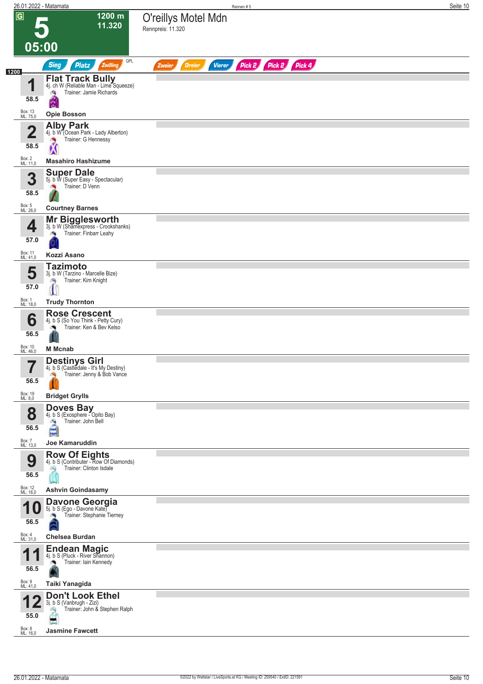|                                 | 26.01.2022 - Matamata                                                                       | Rennen#5                                                         | Seite 10 |
|---------------------------------|---------------------------------------------------------------------------------------------|------------------------------------------------------------------|----------|
| $\overline{G}$                  | 1200 m<br>11.320                                                                            | O'reillys Motel Mdn<br>Rennpreis: 11.320                         |          |
| 05:00                           |                                                                                             |                                                                  |          |
|                                 | QPL<br><b>Sieg</b><br>Platz<br>Zwilling                                                     | Pick 2 Pick 2 Pick 4<br><b>Vierer</b><br><b>Dreier</b><br>Zweier |          |
| 1200<br>и                       | <b>Flat Track Bully</b><br>4j. ch W (Reliable Man - Lime Squeeze)                           |                                                                  |          |
| 58.5                            | Trainer: Jamie Richards<br>洩<br>é                                                           |                                                                  |          |
| Box: 13<br>ML: 75,0             | <b>Opie Bosson</b>                                                                          |                                                                  |          |
| $\overline{\mathbf{2}}$<br>58.5 | <b>Alby Park</b><br>4j. b W (Ocean Park - Lady Alberton)<br>Trainer: G Hennessy<br><b>P</b> |                                                                  |          |
| Box: 2                          | Ń<br><b>Masahiro Hashizume</b>                                                              |                                                                  |          |
| ML: 11,0                        | <b>Super Dale</b>                                                                           |                                                                  |          |
| 3<br>58.5                       | 5j. b W (Super Easy - Spectacular)<br>Trainer: D Venn                                       |                                                                  |          |
| Box: 5<br>ML: 26,0              | <b>Courtney Barnes</b>                                                                      |                                                                  |          |
|                                 | <b>Mr Bigglesworth</b><br>3j. b W (Shamexpress - Crookshanks)                               |                                                                  |          |
| 4<br>57.0                       | Trainer: Finbarr Leahy<br>Ø,                                                                |                                                                  |          |
| Box: 11<br>ML: 41,0             | Kozzi Asano                                                                                 |                                                                  |          |
| 5                               | Tazimoto<br>3j. b W (Tarzino - Marcelle Bize)                                               |                                                                  |          |
| 57.0                            | Trainer: Kim Knight<br>熵                                                                    |                                                                  |          |
| Box: 1<br>ML: 18,0              | <b>Trudy Thornton</b>                                                                       |                                                                  |          |
| 6                               | <b>Rose Crescent</b><br>4j. b S (So You Think - Petty Cury)                                 |                                                                  |          |
| 56.5                            | Trainer: Ken & Bev Kelso                                                                    |                                                                  |          |
| Box: 10<br>ML: 46,0             | <b>M</b> Mcnab                                                                              |                                                                  |          |
| 7<br>$\blacksquare$             | <b>Destinys Girl</b><br>4j. b S (Castledale - It's My Destiny)                              |                                                                  |          |
| 56.5                            | Trainer: Jenny & Bob Vance                                                                  |                                                                  |          |
| Box: 19<br>ML: 8,0              | <b>Bridget Grylls</b>                                                                       |                                                                  |          |
| 8<br>56.5                       | <b>Doves Bay</b><br>4j. b S (Exosphere - Opito Bay)<br>Trainer: John Bell<br>負<br>É         |                                                                  |          |
| Box: 7<br>ML: 13,0              | Joe Kamaruddin                                                                              |                                                                  |          |
| 9<br>56.5                       | <b>Row Of Eights</b><br>4j. b S (Contributer - Row Of Diamonds)<br>Trainer: Clinton Isdale  |                                                                  |          |
| Box: 12<br>ML: 16,0             | <b>Ashvin Goindasamy</b>                                                                    |                                                                  |          |
| <b>10</b><br>56.5               | Davone Georgia<br>Trainer: Stephanie Tierney                                                |                                                                  |          |
| Box: 4<br>ML: 31,0              | <b>Chelsea Burdan</b>                                                                       |                                                                  |          |
| И                               | <b>Endean Magic</b><br>4j. b S (Pluck - River Shannon)<br>Trainer: Iain Kennedy             |                                                                  |          |
| 56.5<br>Box: 9<br>ML: 41,0      | Taiki Yanagida                                                                              |                                                                  |          |
|                                 | <b>Don't Look Ethel</b>                                                                     |                                                                  |          |
| 55.0                            | 3j. b S (Vanbrugh - Zizi)<br>Trainer: John & Stephen Ralph                                  |                                                                  |          |
| Box: 8                          | <b>Jasmine Fawcett</b>                                                                      |                                                                  |          |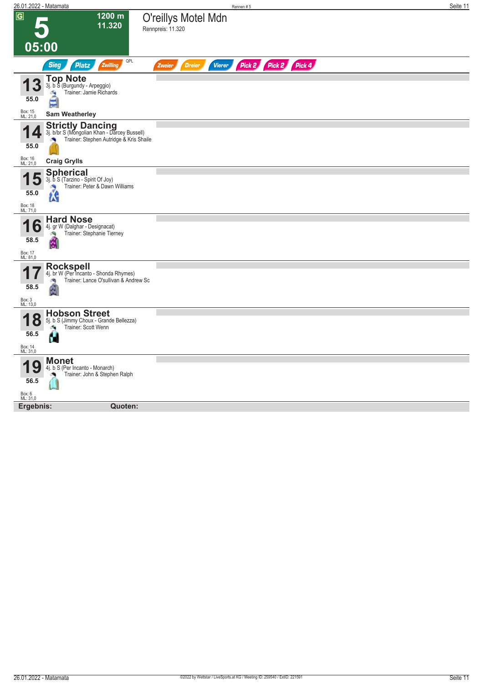| <u> 26.01.2022 - Matamata</u>      |                                                                                                                    | Rennen #5                                                        | Seite 11 |
|------------------------------------|--------------------------------------------------------------------------------------------------------------------|------------------------------------------------------------------|----------|
| $\overline{G}$<br>05:00            | 1200 m<br>11.320                                                                                                   | O'reillys Motel Mdn<br>Rennpreis: 11.320                         |          |
|                                    |                                                                                                                    |                                                                  |          |
|                                    | QPL<br><b>Sieg</b><br><b>Platz</b><br>Zwilling                                                                     | Pick 2 Pick 2 Pick 4<br><b>Vierer</b><br><b>Dreier</b><br>Zweier |          |
| 55.0                               | <b>Top Note</b><br>3j. b S (Burgundy - Arpeggio)<br>Trainer: Jamie Richards<br>å                                   |                                                                  |          |
| Box: 15<br>ML: 21,0                | <b>Sam Weatherley</b>                                                                                              |                                                                  |          |
| $\boldsymbol{\mathcal{L}}$<br>55.0 | <b>Strictly Dancing</b><br>3j. b/br S (Mongolian Khan - Darcey Bussell)<br>Trainer: Stephen Autridge & Kris Shaile |                                                                  |          |
| Box: 16<br>ML: 21,0                | <b>Craig Grylls</b>                                                                                                |                                                                  |          |
| 55.0                               | <b>Spherical</b><br>3j. b S (Tarzino - Spirit Of Joy)<br>Trainer: Peter & Dawn Williams<br>1.G                     |                                                                  |          |
| Box: 18<br>ML: 71,0                |                                                                                                                    |                                                                  |          |
| Ô<br>58.5                          | <b>Hard Nose</b><br>4j. gr W (Dalghar - Designacat)<br>Trainer: Stephanie Tierney<br>Ÿ.                            |                                                                  |          |
| Box: 17<br>ML: 81,0                |                                                                                                                    |                                                                  |          |
| 58.5                               | <b>Rockspell</b><br>4j. br W (Per Incanto - Shonda Rhymes)<br>Trainer: Lance O'sullivan & Andrew Sc<br>滴           |                                                                  |          |
| Box: 3<br>ML: 13,0                 |                                                                                                                    |                                                                  |          |
| Ŏ<br>56.5                          | <b>Hobson Street</b><br>5j. b S (Jimmy Choux - Grande Bellezza)<br>Trainer: Scott Wenn<br>H                        |                                                                  |          |
| Box: 14<br>ML: 31,0                |                                                                                                                    |                                                                  |          |
| Ų<br>56.5<br>Box: 6<br>ML: 31,0    | <b>Monet</b><br>4j. b S (Per Incanto - Monarch)<br>Trainer: John & Stephen Ralph<br>N                              |                                                                  |          |
|                                    | Quoten:                                                                                                            |                                                                  |          |
| Ergebnis:                          |                                                                                                                    |                                                                  |          |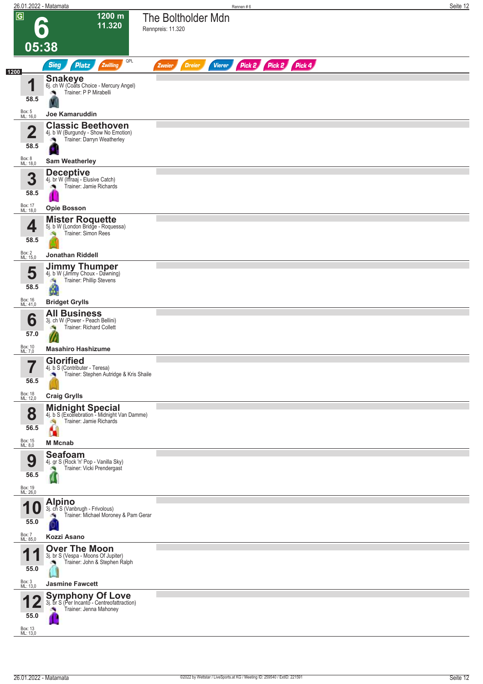|                         |                                 | 26.01.2022 - Matamata                                                                              | Rennen#6                                                         | Seite 12 |
|-------------------------|---------------------------------|----------------------------------------------------------------------------------------------------|------------------------------------------------------------------|----------|
| $\overline{\mathbf{G}}$ |                                 | 1200 m<br>11.320                                                                                   | The Boltholder Mdn<br>Rennpreis: 11.320                          |          |
|                         | 05:38                           |                                                                                                    |                                                                  |          |
| 1200                    |                                 | QPL<br><b>Sieg</b><br>Platz<br>Zwilling                                                            | Pick 2 Pick 2 Pick 4<br><b>Vierer</b><br><b>Dreier</b><br>Zweier |          |
|                         | и                               | <b>Snakeye</b><br>6j. ch W (Coats Choice - Mercury Angel)<br>Trainer: P P Mirabelli                |                                                                  |          |
|                         | 58.5<br>Box: 5<br>ML: 16,0      | <b>Joe Kamaruddin</b>                                                                              |                                                                  |          |
|                         |                                 | <b>Classic Beethoven</b>                                                                           |                                                                  |          |
|                         | $\overline{\mathbf{2}}$<br>58.5 | 4j. b W (Burgundy - Show No Emotion)<br>Trainer: Darryn Weatherley<br>J.                           |                                                                  |          |
|                         | Box: 8<br>ML: 18,0              | <b>Sam Weatherley</b>                                                                              |                                                                  |          |
|                         | 3<br>58.5                       | <b>Deceptive</b><br>4j. br W (Iffraaj - Elusive Catch)<br>Trainer: Jamie Richards                  |                                                                  |          |
|                         | Box: 17<br>ML: 18,0             | <b>Opie Bosson</b>                                                                                 |                                                                  |          |
|                         | 4<br>58.5                       | <b>Mister Roquette</b><br>5j. b W (London Bridge - Roquessa)<br>Trainer: Simon Rees                |                                                                  |          |
|                         | Box: 2<br>ML: 15,0              | <b>Jonathan Riddell</b>                                                                            |                                                                  |          |
|                         | 5                               | <b>Jimmy Thumper</b><br>4j. b W (Jimmy Choux - Dawning)<br>Trainer: Phillip Stevens<br>a,          |                                                                  |          |
|                         | 58.5                            | Ø                                                                                                  |                                                                  |          |
|                         | Box: 16<br>ML: 41,0             | <b>Bridget Grylls</b><br><b>All Business</b>                                                       |                                                                  |          |
|                         | 6<br>57.0                       | 3j. ch W (Power - Peach Bellini)<br>Trainer: Richard Collett                                       |                                                                  |          |
|                         | Box: 10<br>ML: 7,0              | <b>Masahiro Hashizume</b>                                                                          |                                                                  |          |
|                         | 7<br>$\blacksquare$<br>56.5     | <b>Glorified</b><br>4j. b S (Contributer - Teresa)<br>Trainer: Stephen Autridge & Kris Shaile<br>× |                                                                  |          |
|                         | Box: 18<br>ML: 12,0             | <b>Craig Grylls</b>                                                                                |                                                                  |          |
|                         | 8                               | <b>Midnight Special</b><br>4j. b S (Excelebration - Midnight Van Damme)                            |                                                                  |          |
|                         | 56.5<br>Box: 15<br>ML: 8,0      | Trainer: Jamie Richards<br>đ.<br><b>ILE</b><br><b>M</b> Mcnab                                      |                                                                  |          |
|                         | 9<br>56.5                       | <b>Seafoam</b><br>4j. gr S (Rock 'n' Pop - Vanilla Sky)<br>Trainer: Vicki Prendergast              |                                                                  |          |
|                         | Box: 19<br>ML: 26,0             |                                                                                                    |                                                                  |          |
|                         | 55.0                            | <b>Alpino</b><br>3j. ch S (Vanbrugh - Frivolous)<br>Trainer: Michael Moroney & Pam Gerar           |                                                                  |          |
|                         | Box: 7<br>ML: 85,0              | Kozzi Asano                                                                                        |                                                                  |          |
|                         | 1<br>55.0                       | <b>Over The Moon</b><br>3j. br S (Vespa - Moons Of Jupiter)<br>Trainer: John & Stephen Ralph       |                                                                  |          |
|                         | Box: 3<br>ML: 13,0              | <b>Jasmine Fawcett</b>                                                                             |                                                                  |          |
|                         | 55.0                            | <b>Symphony Of Love</b><br>3j. br S (Per Incanto - Centreofattraction)<br>Trainer: Jenna Mahoney   |                                                                  |          |
|                         | Box: 13<br>ML: 13,0             |                                                                                                    |                                                                  |          |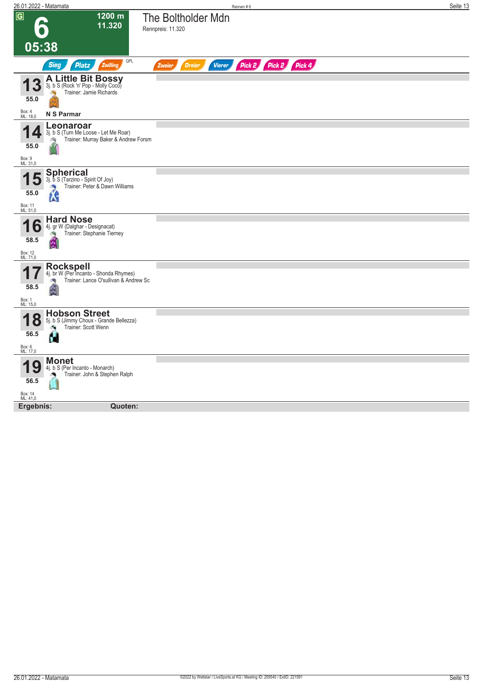| 26.01.2022 - Matamata                                                                                                                       | Rennen#6                                                                | Seite 13 |
|---------------------------------------------------------------------------------------------------------------------------------------------|-------------------------------------------------------------------------|----------|
| $\sqrt{G}$<br>1200 m<br>11.320<br>D.                                                                                                        | The Boltholder Mdn<br>Rennpreis: 11.320                                 |          |
| 05:38                                                                                                                                       |                                                                         |          |
| <b>Sieg</b><br>Zwilling<br><b>Platz</b>                                                                                                     | QPL<br>Pick 2 Pick 2 Pick 4<br><b>Dreier</b><br><b>Vierer</b><br>Zweier |          |
| <b>A Little Bit Bossy</b><br><b>13</b><br>3j. b S (Rock 'n' Pop - Molly Coco)<br>Trainer: Jamie Richards<br>55.0                            |                                                                         |          |
| Box: 4<br>ML: 18,0<br>N S Parmar                                                                                                            |                                                                         |          |
| Leonaroar<br>3j. b S (Turn Me Loose - Let Me Roar)<br>Trainer: Murray Baker & Andrew Forsm<br>55.0<br>Box: 9<br>ML: 31,0                    |                                                                         |          |
| <b>Spherical</b><br>5<br>3j. b S (Tarzino - Spirit Of Joy)<br>Trainer: Peter & Dawn Williams<br>55.0<br>łК<br>Box: 11<br>ML: 51,0           |                                                                         |          |
| <b>Hard Nose</b><br>6<br>4j. gr W (Dalghar - Designacat)<br>Trainer: Stephanie Tierney<br>58.5<br>Ŵ<br>Box: 12<br>ML: 71,0                  |                                                                         |          |
| Rockspell<br>4j. br W (Per Incanto - Shonda Rhymes)<br>Trainer: Lance O'sullivan & Andrew Sc<br>58.5<br>Box: 1<br>ML: 15,0                  |                                                                         |          |
| <b>Hobson Street</b><br>0<br>5j. b S (Jimmy Choux - Grande Bellezza)<br>$\bullet$<br>Trainer: Scott Wenn<br>56.5<br>п<br>Box: 6<br>ML: 17,0 |                                                                         |          |
| <b>Monet</b><br>9<br>4j. b S (Per Incanto - Monarch)<br>Trainer: John & Stephen Ralph<br>56.5<br>Box: 14<br>ML: 41,0                        |                                                                         |          |
| Quoten:<br>Ergebnis:                                                                                                                        |                                                                         |          |
|                                                                                                                                             |                                                                         |          |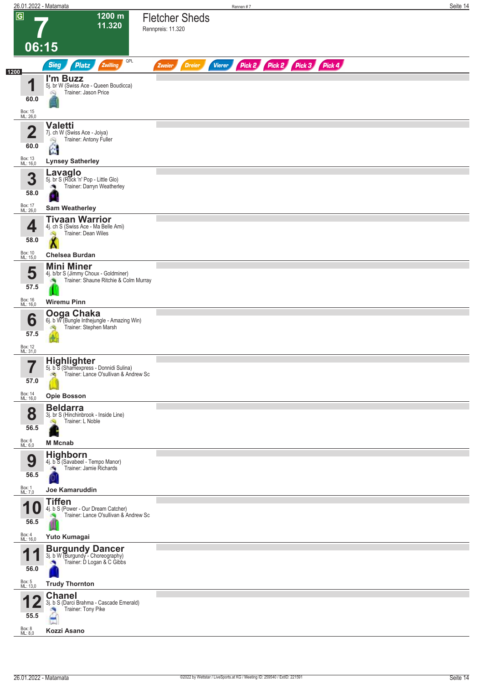|                         | 26.01.2022 - Matamata                                                           | Rennen #7                                                               | Seite 14 |
|-------------------------|---------------------------------------------------------------------------------|-------------------------------------------------------------------------|----------|
| $\overline{G}$          | 1200 m<br>11.320                                                                | <b>Fletcher Sheds</b><br>Rennpreis: 11.320                              |          |
|                         | 06:15                                                                           |                                                                         |          |
| 1200                    | QPL<br><b>Sieg</b><br>Platz<br>Zwilling                                         | Pick 2 Pick 2 Pick 3 Pick 4<br><b>Dreier</b><br><b>Vierer</b><br>Zweier |          |
| И                       | I'm Buzz<br>5j. br W (Swiss Ace - Queen Boudicca)                               |                                                                         |          |
| 60.0                    | Trainer: Jason Price<br>Ñ                                                       |                                                                         |          |
| Box: 15<br>ML: 26,0     |                                                                                 |                                                                         |          |
| $\overline{\mathbf{2}}$ | <b>Valetti</b><br>7j. ch W (Swiss Ace - Joiya)                                  |                                                                         |          |
| 60.0                    | Trainer: Antony Fuller<br>Q                                                     |                                                                         |          |
| Box: 13<br>ML: 16,0     | Ë<br><b>Lynsey Satherley</b>                                                    |                                                                         |          |
| 3                       | Lavaglo<br>5j. br S (Rock 'n' Pop - Little Glo)                                 |                                                                         |          |
| 58.0                    | Trainer: Darryn Weatherley                                                      |                                                                         |          |
| Box: 17<br>ML: 26,0     | <b>Sam Weatherley</b>                                                           |                                                                         |          |
|                         | <b>Tivaan Warrior</b>                                                           |                                                                         |          |
| 4<br>58.0               | 4j. ch S (Swiss Ace - Ma Belle Ami)<br>Trainer: Dean Wiles                      |                                                                         |          |
| Box: 10<br>ML: 15,0     | <b>Chelsea Burdan</b>                                                           |                                                                         |          |
| 5                       | <b>Mini Miner</b><br>4j. b/br S (Jimmy Choux - Goldminer)                       |                                                                         |          |
| 57.5                    | Trainer: Shaune Ritchie & Colm Murray                                           |                                                                         |          |
| Box: 16<br>ML: 16,0     | <b>Wiremu Pinn</b>                                                              |                                                                         |          |
| 6                       | Ooga Chaka<br>6j. b W (Bungle Inthejungle - Amazing Win)                        |                                                                         |          |
| 57.5                    | Trainer: Stephen Marsh                                                          |                                                                         |          |
| Box: 12<br>ML: 31,0     |                                                                                 |                                                                         |          |
| 7                       | <b>Highlighter</b><br>5j. b S (Shamexpress - Donnidi Sulina)                    |                                                                         |          |
| $\blacksquare$<br>57.0  | Trainer: Lance O'sullivan & Andrew Sc<br>dig.                                   |                                                                         |          |
| Box: 14<br>ML: 16,0     | <b>Opie Bosson</b>                                                              |                                                                         |          |
| 8                       | <b>Beldarra</b><br>3j. br S (Hinchinbrook - Inside Line)                        |                                                                         |          |
| 56.5                    | Trainer: L Noble                                                                |                                                                         |          |
| Box: 6<br>ML: 6,0       | <b>M</b> Mcnab                                                                  |                                                                         |          |
| 9                       | <b>Highborn</b><br>4j. b S (Savabeel - Tempo Manor)                             |                                                                         |          |
| 56.5                    | Trainer: Jamie Richards                                                         |                                                                         |          |
| Box: 1<br>ML: 7,0       | Joe Kamaruddin                                                                  |                                                                         |          |
| и                       | <b>Tiffen</b><br>4j. b S (Power - Our Dream Catcher)                            |                                                                         |          |
| 56.5                    | Trainer: Lance O'sullivan & Andrew Sc                                           |                                                                         |          |
| Box: 4<br>ML: 16,0      | Yuto Kumagai                                                                    |                                                                         |          |
| И                       | <b>Burgundy Dancer</b> 3j. b W (Burgundy - Choreography)                        |                                                                         |          |
| 56.0                    | Trainer: D Logan & C Gibbs                                                      |                                                                         |          |
| Box: 5<br>ML: 13,0      | <b>Trudy Thornton</b>                                                           |                                                                         |          |
| 55.5                    | <b>Chanel</b><br>3j. b S (Darci Brahma - Cascade Emerald)<br>Trainer: Tony Pike |                                                                         |          |
| Box: 8<br>ML: 8,0       | Kozzi Asano                                                                     |                                                                         |          |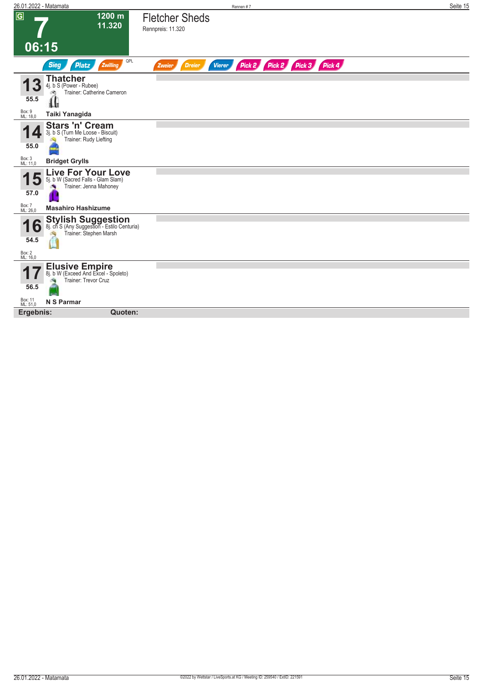| 26.01.2022 - Matamata                                                                                           | Rennen #7                                                               | Seite 15 |
|-----------------------------------------------------------------------------------------------------------------|-------------------------------------------------------------------------|----------|
| $\overline{G}$<br>1200 m<br>11.320                                                                              | <b>Fletcher Sheds</b><br>Rennpreis: 11.320                              |          |
| 06:15                                                                                                           |                                                                         |          |
| QPL<br><b>Sieg</b><br><b>Platz</b><br>Zwilling                                                                  | Pick 2 Pick 2 Pick 3 Pick 4<br><b>Vierer</b><br><b>Dreier</b><br>Zweier |          |
| Thatcher<br>4j. b S (Power - Rubee)<br>Trainer: Catherine Cameron<br>55.5                                       |                                                                         |          |
| ſľ<br>Box: 9<br>ML: 18,0<br>Taiki Yanagida                                                                      |                                                                         |          |
| <b>Stars 'n' Cream</b><br>3j. b S (Turn Me Loose - Biscuit)<br>Trainer: Rudy Liefting<br>55.0                   |                                                                         |          |
| Box: 3<br>ML: 11,0<br><b>Bridget Grylls</b>                                                                     |                                                                         |          |
| Live For Your Love<br>5j. b W (Sacred Falls - Glam Slam)<br>Đ<br>Trainer: Jenna Mahoney<br>57.0                 |                                                                         |          |
| Box: 7<br>ML: 26,0<br><b>Masahiro Hashizume</b>                                                                 |                                                                         |          |
| <b>Stylish Suggestion</b><br>8j. ch S (Any Suggestion - Estilo Centuria)<br>۰<br>Trainer: Stephen Marsh<br>54.5 |                                                                         |          |
| Box: 2<br>ML: 16,0                                                                                              |                                                                         |          |
| <b>Elusive Empire</b><br>8j. b W (Exceed And Excel - Spoleto)<br>Trainer: Trevor Cruz<br>56.5                   |                                                                         |          |
| Box: 11<br>ML: 51,0<br>N S Parmar                                                                               |                                                                         |          |
| Ergebnis:<br>Quoten:                                                                                            |                                                                         |          |
|                                                                                                                 |                                                                         |          |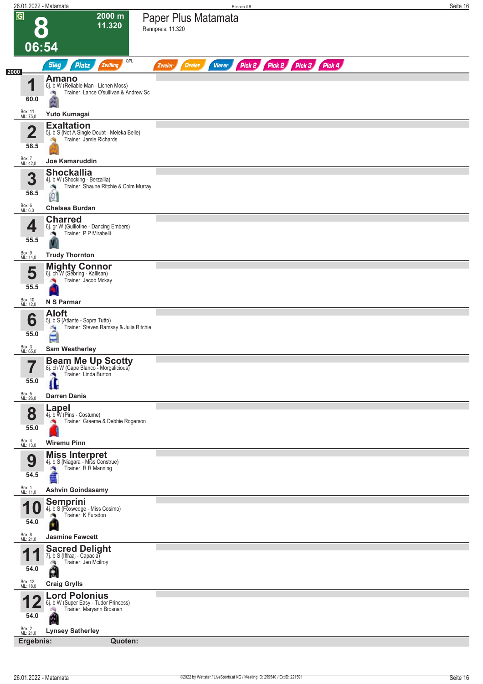|                             | 26.01.2022 - Matamata                                                                              | Rennen #8                                                               | Seite 16 |
|-----------------------------|----------------------------------------------------------------------------------------------------|-------------------------------------------------------------------------|----------|
| $\overline{G}$              | $2000 \text{ m}$<br>11.320                                                                         | Paper Plus Matamata<br>Rennpreis: 11.320                                |          |
| 06:54                       |                                                                                                    |                                                                         |          |
| 2000                        | QPL<br><b>Sieg</b><br><b>Platz</b><br>Zwilling                                                     | Pick 2 Pick 2 Pick 3 Pick 4<br><b>Vierer</b><br><b>Dreier</b><br>Zweier |          |
| 1                           | <b>Amano</b><br>6j. b W (Reliable Man - Lichen Moss)<br>Trainer: Lance O'sullivan & Andrew Sc<br>肉 |                                                                         |          |
| 60.0<br>Box: 11<br>ML: 75,0 | Yuto Kumagai                                                                                       |                                                                         |          |
| $\mathbf 2$                 | <b>Exaltation</b><br>5j. b S (Not A Single Doubt - Meleka Belle)                                   |                                                                         |          |
| 58.5                        | Trainer: Jamie Richards                                                                            |                                                                         |          |
| Box: 7<br>ML: 42,0          | <b>Joe Kamaruddin</b>                                                                              |                                                                         |          |
| 3                           | <b>Shockallia</b><br>4j. b W (Shocking - Berzallia)                                                |                                                                         |          |
| 56.5                        | Trainer: Shaune Ritchie & Colm Murray<br>đ,<br>$\circ$                                             |                                                                         |          |
| Box: 6<br>ML: 6,0           | <b>Chelsea Burdan</b>                                                                              |                                                                         |          |
|                             | <b>Charred</b>                                                                                     |                                                                         |          |
| 4<br>55.5                   | 6j. gr W (Guillotine - Dancing Embers)<br>Trainer: P P Mirabelli                                   |                                                                         |          |
| Box: 9<br>ML: 14,0          | <b>Trudy Thornton</b>                                                                              |                                                                         |          |
|                             | <b>Mighty Connor</b><br>6j. ch W (Sebring - Kallisan)                                              |                                                                         |          |
| 5<br>55.5                   | Trainer: Jacob Mckay                                                                               |                                                                         |          |
| Box: 10<br>ML: 12,0         | N S Parmar                                                                                         |                                                                         |          |
|                             | <b>Aloft</b>                                                                                       |                                                                         |          |
| 6<br>55.0                   | 5j. b S (Atlante - Sopra Tutto)<br>Trainer: Steven Ramsay & Julia Ritchie<br>å                     |                                                                         |          |
| Box: 3<br>ML: 65,0          | <b>Sam Weatherley</b>                                                                              |                                                                         |          |
|                             |                                                                                                    |                                                                         |          |
| 7<br>$\blacksquare$<br>55.0 | <b>Beam Me Up Scotty</b><br>8j. ch W (Cape Blanco - Morgalicious)<br>Trainer: Linda Burton<br>×    |                                                                         |          |
| Box: 5<br>ML: 26,0          | <b>Darren Danis</b>                                                                                |                                                                         |          |
| 8<br>55.0                   | Lapel<br>4j. b W (Pins - Costume)<br>Trainer: Graeme & Debbie Rogerson                             |                                                                         |          |
| Box: 4<br>ML: 13,0          | <b>Wiremu Pinn</b>                                                                                 |                                                                         |          |
| 9                           | <b>Miss Interpret</b><br>4j. b S (Niagara - Miss Construe)                                         |                                                                         |          |
| 54.5                        | Trainer: R R Manning<br>×,                                                                         |                                                                         |          |
| Box: 1<br>ML: 11,0          | <b>Ashvin Goindasamy</b>                                                                           |                                                                         |          |
|                             | Semprini                                                                                           |                                                                         |          |
|                             | 4j. b S (Foxwedge - Miss Cosimo)<br>Trainer: K Fursdon                                             |                                                                         |          |
| 54.0                        |                                                                                                    |                                                                         |          |
| Box: 8<br>ML: 21,0          | <b>Jasmine Fawcett</b>                                                                             |                                                                         |          |
| И<br>и<br>54.0              | <b>Sacred Delight</b> 7j. b S (Iffraaj - Capacia)<br>Trainer: Jen Mcilroy<br>ó.<br>A               |                                                                         |          |
| Box: 12<br>ML: 18,0         | <b>Craig Grylls</b>                                                                                |                                                                         |          |
|                             | <b>Lord Polonius</b><br>6j. b W (Super Easy - Tudor Princess)                                      |                                                                         |          |
| 54.0                        | Trainer: Maryann Brosnan<br>鸿                                                                      |                                                                         |          |
| Box: 2<br>ML: 21,0          | Ŵ<br><b>Lynsey Satherley</b>                                                                       |                                                                         |          |
|                             | Ergebnis:<br>Quoten:                                                                               |                                                                         |          |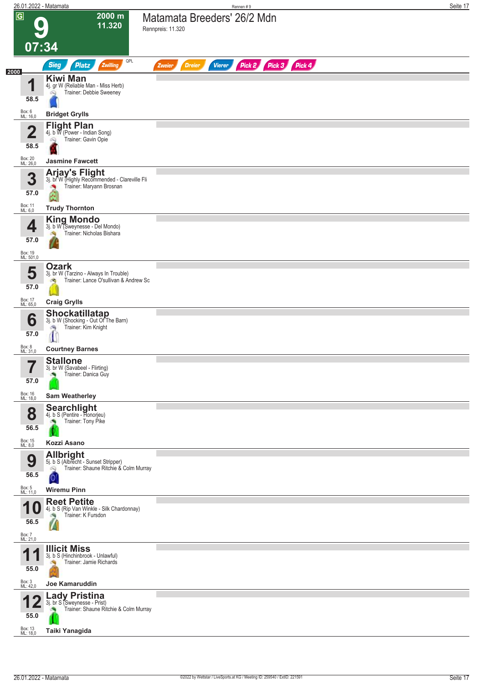| 26.01.2022 - Matamata   |                                                                                                       | Rennen #9                                                        | Seite 17 |
|-------------------------|-------------------------------------------------------------------------------------------------------|------------------------------------------------------------------|----------|
| $\overline{G}$          | 2000 m<br>11.320                                                                                      | Matamata Breeders' 26/2 Mdn<br>Rennpreis: 11.320                 |          |
| 07:34                   |                                                                                                       |                                                                  |          |
| 2000                    | QPL<br>Zwilling<br><b>Sieg</b><br><b>Platz</b>                                                        | Pick 2 Pick 3 Pick 4<br><b>Dreier</b><br><b>Vierer</b><br>Zweier |          |
| и                       | <b>Kiwi Man</b><br>4j. gr W (Reliable Man - Miss Herb)                                                |                                                                  |          |
| 58.5                    | Trainer: Debbie Sweeney<br>ôQ.                                                                        |                                                                  |          |
| Box: 6<br>ML: 16,0      | <b>Bridget Grylls</b>                                                                                 |                                                                  |          |
| $\overline{\mathbf{2}}$ | <b>Flight Plan</b><br>4j. b W (Power - Indian Song)<br>Trainer: Gavin Opie                            |                                                                  |          |
| 58.5                    | Q                                                                                                     |                                                                  |          |
| Box: 20<br>ML: 26,0     | <b>Jasmine Fawcett</b>                                                                                |                                                                  |          |
| 3<br>57.0               | Arjay's Flight<br>3j. br W (Highly Recommended - Clareville Fli<br>Trainer: Maryann Brosnan           |                                                                  |          |
| Box: 11<br>ML: 6,0      | <b>Trudy Thornton</b>                                                                                 |                                                                  |          |
| 4                       | <b>King Mondo</b><br>3j. b W (Sweynesse - Del Mondo)<br>Trainer: Nicholas Bishara                     |                                                                  |          |
| 57.0                    |                                                                                                       |                                                                  |          |
| Box: 19<br>ML: 501,0    |                                                                                                       |                                                                  |          |
| 5<br>57.0               | <b>Ozark</b><br>3j. br W (Tarzino - Always In Trouble)<br>Trainer: Lance O'sullivan & Andrew Sc<br>σq |                                                                  |          |
| Box: 17<br>ML: 65,0     | <b>Craig Grylls</b>                                                                                   |                                                                  |          |
| 6<br>57.0               | <b>Shockatillatap</b><br>3j. b W (Shocking - Out Of The Barn)<br>Trainer: Kim Knight<br>G,            |                                                                  |          |
| Box: 8<br>ML: 31,0      | <b>Courtney Barnes</b>                                                                                |                                                                  |          |
|                         | <b>Stallone</b>                                                                                       |                                                                  |          |
| ı<br>57.0               | 3j. br W (Savabeel - Flirting)<br>Trainer: Danica Guy                                                 |                                                                  |          |
| Box: 16<br>ML: 18,0     | <b>Sam Weatherley</b>                                                                                 |                                                                  |          |
| 8                       | <b>Searchlight</b><br>4j. b S (Pentire - Honorjeu)<br>Trainer: Tony Pike                              |                                                                  |          |
| 56.5                    | Kozzi Asano                                                                                           |                                                                  |          |
| Box: 15<br>ML: 8,0      | <b>Allbright</b>                                                                                      |                                                                  |          |
| 9<br>56.5               | 5j. b S (Albrecht - Sunset Stripper)<br>Trainer: Shaune Ritchie & Colm Murray<br>Ŵ                    |                                                                  |          |
| Box: 5<br>ML: 11,0      | 0<br><b>Wiremu Pinn</b>                                                                               |                                                                  |          |
|                         | <b>Reet Petite</b>                                                                                    |                                                                  |          |
| 1 U<br>56.5             | 4j. b S (Rip Van Winkle - Silk Chardonnay)<br>Trainer: K Fursdon                                      |                                                                  |          |
| Box: 7<br>ML: 21,0      |                                                                                                       |                                                                  |          |
| 4                       | <b>Illicit Miss</b><br>3j. b S (Hinchinbrook - Unlawful)                                              |                                                                  |          |
| 55.0                    | Trainer: Jamie Richards                                                                               |                                                                  |          |
| Box: 3<br>ML: 42,0      | <b>Joe Kamaruddin</b>                                                                                 |                                                                  |          |
| 55.0                    | <b>Lady Pristina</b><br>3j. br S (Sweynesse - Prist)<br>Trainer: Shaune Ritchie & Colm Murray         |                                                                  |          |
| Box: 13<br>ML: 18,0     | Taiki Yanagida                                                                                        |                                                                  |          |